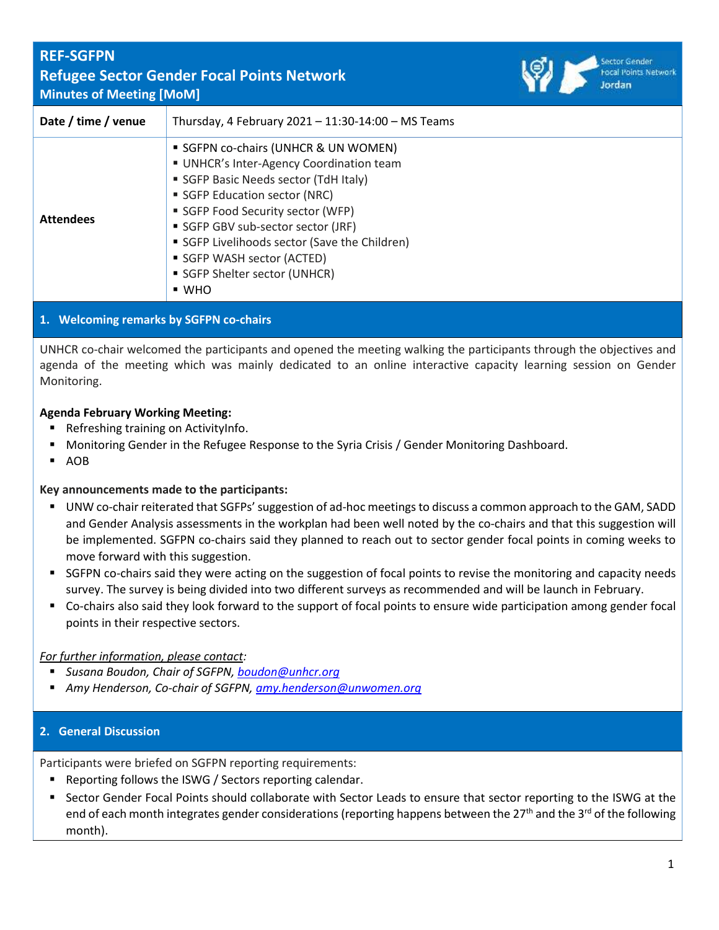## **REF-SGFPN** Focal Points Network **Refugee Sector Gender Focal Points Network Minutes of Meeting [MoM] Date / time / venue** Thursday, 4 February 2021 – 11:30-14:00 – MS Teams **• SGFPN co-chairs (UNHCR & UN WOMEN)** ■ UNHCR's Inter-Agency Coordination team **B** SGFP Basic Needs sector (TdH Italy) ■ SGFP Education sector (NRC) ■ SGFP Food Security sector (WFP) **Attendees E** SGFP GBV sub-sector sector (JRF) ■ SGFP Livelihoods sector (Save the Children) **SGFP WASH sector (ACTED) • SGFP Shelter sector (UNHCR)** ▪ WHO

## **1. Welcoming remarks by SGFPN co-chairs**

UNHCR co-chair welcomed the participants and opened the meeting walking the participants through the objectives and agenda of the meeting which was mainly dedicated to an online interactive capacity learning session on Gender Monitoring.

### **Agenda February Working Meeting:**

- Refreshing training on ActivityInfo.
- Monitoring Gender in the Refugee Response to the Syria Crisis / Gender Monitoring Dashboard.
- AOB

### **Key announcements made to the participants:**

- UNW co-chair reiterated that SGFPs' suggestion of ad-hoc meetings to discuss a common approach to the GAM, SADD and Gender Analysis assessments in the workplan had been well noted by the co-chairs and that this suggestion will be implemented. SGFPN co-chairs said they planned to reach out to sector gender focal points in coming weeks to move forward with this suggestion.
- SGFPN co-chairs said they were acting on the suggestion of focal points to revise the monitoring and capacity needs survey. The survey is being divided into two different surveys as recommended and will be launch in February.
- Co-chairs also said they look forward to the support of focal points to ensure wide participation among gender focal points in their respective sectors.

### *For further information, please contact:*

- *Susana Boudon, Chair of SGFPN, [boudon@unhcr.org](mailto:boudon@unhcr.org)*
- *Amy Henderson, Co-chair of SGFPN, [amy.henderson@unwomen.org](mailto:amy.henderson@unwomen.org)*

### **2. General Discussion**

Participants were briefed on SGFPN reporting requirements:

- Reporting follows the ISWG / Sectors reporting calendar.
- Sector Gender Focal Points should collaborate with Sector Leads to ensure that sector reporting to the ISWG at the end of each month integrates gender considerations (reporting happens between the 27<sup>th</sup> and the 3<sup>rd</sup> of the following month).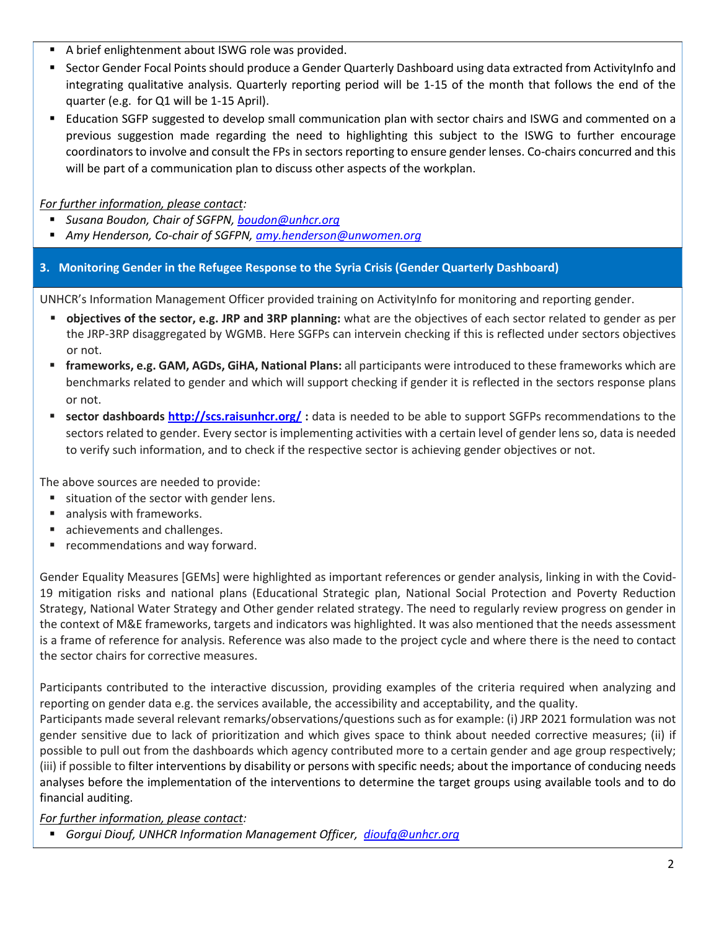- A brief enlightenment about ISWG role was provided.
- Sector Gender Focal Points should produce a Gender Quarterly Dashboard using data extracted from ActivityInfo and integrating qualitative analysis. Quarterly reporting period will be 1-15 of the month that follows the end of the quarter (e.g. for Q1 will be 1-15 April).
- Education SGFP suggested to develop small communication plan with sector chairs and ISWG and commented on a previous suggestion made regarding the need to highlighting this subject to the ISWG to further encourage coordinators to involve and consult the FPs in sectors reporting to ensure gender lenses. Co-chairs concurred and this will be part of a communication plan to discuss other aspects of the workplan.

## *For further information, please contact:*

- *Susana Boudon, Chair of SGFPN, [boudon@unhcr.org](mailto:boudon@unhcr.org)*
- *Amy Henderson, Co-chair of SGFPN, [amy.henderson@unwomen.org](mailto:amy.henderson@unwomen.org)*

# **3. Monitoring Gender in the Refugee Response to the Syria Crisis (Gender Quarterly Dashboard)**

UNHCR's Information Management Officer provided training on ActivityInfo for monitoring and reporting gender.

- **objectives of the sector, e.g. JRP and 3RP planning:** what are the objectives of each sector related to gender as per the JRP-3RP disaggregated by WGMB. Here SGFPs can intervein checking if this is reflected under sectors objectives or not.
- **frameworks, e.g. GAM, AGDs, GiHA, National Plans:** all participants were introduced to these frameworks which are benchmarks related to gender and which will support checking if gender it is reflected in the sectors response plans or not.
- **EXECT extor** dashboards **<http://scs.raisunhcr.org/>** : data is needed to be able to support SGFPs recommendations to the sectors related to gender. Every sector is implementing activities with a certain level of gender lens so, data is needed to verify such information, and to check if the respective sector is achieving gender objectives or not.

The above sources are needed to provide:

- situation of the sector with gender lens.
- analysis with frameworks.
- achievements and challenges.
- recommendations and way forward.

Gender Equality Measures [GEMs] were highlighted as important references or gender analysis, linking in with the Covid-19 mitigation risks and national plans (Educational Strategic plan, National Social Protection and Poverty Reduction Strategy, National Water Strategy and Other gender related strategy. The need to regularly review progress on gender in the context of M&E frameworks, targets and indicators was highlighted. It was also mentioned that the needs assessment is a frame of reference for analysis. Reference was also made to the project cycle and where there is the need to contact the sector chairs for corrective measures.

Participants contributed to the interactive discussion, providing examples of the criteria required when analyzing and reporting on gender data e.g. the services available, the accessibility and acceptability, and the quality.

Participants made several relevant remarks/observations/questions such as for example: (i) JRP 2021 formulation was not gender sensitive due to lack of prioritization and which gives space to think about needed corrective measures; (ii) if possible to pull out from the dashboards which agency contributed more to a certain gender and age group respectively; (iii) if possible to filter interventions by disability or persons with specific needs; about the importance of conducing needs analyses before the implementation of the interventions to determine the target groups using available tools and to do financial auditing.

## *For further information, please contact:*

▪ *Gorgui Diouf, UNHCR Information Management Officer, [dioufg@unhcr.org](mailto:boudon@unhcr.org)*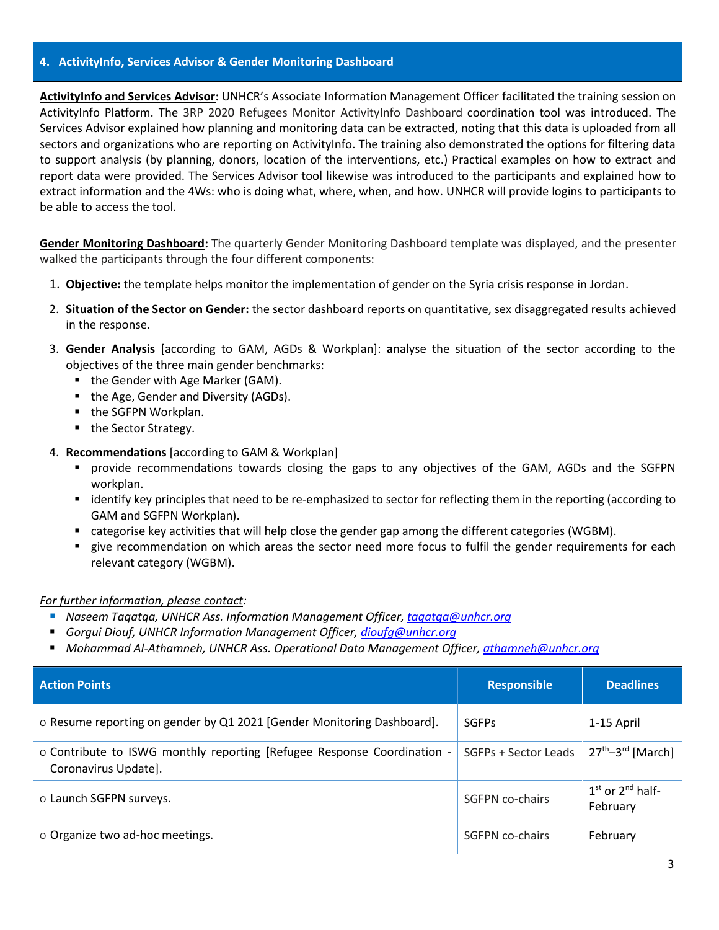#### **4. ActivityInfo, Services Advisor & Gender Monitoring Dashboard**

**ActivityInfo and Services Advisor:** UNHCR's Associate Information Management Officer facilitated the training session on ActivityInfo Platform. The 3RP 2020 Refugees Monitor ActivityInfo Dashboard coordination tool was introduced. The Services Advisor explained how planning and monitoring data can be extracted, noting that this data is uploaded from all sectors and organizations who are reporting on ActivityInfo. The training also demonstrated the options for filtering data to support analysis (by planning, donors, location of the interventions, etc.) Practical examples on how to extract and report data were provided. The Services Advisor tool likewise was introduced to the participants and explained how to extract information and the 4Ws: who is doing what, where, when, and how. UNHCR will provide logins to participants to be able to access the tool.

**Gender Monitoring Dashboard:** The quarterly Gender Monitoring Dashboard template was displayed, and the presenter walked the participants through the four different components:

- 1. **Objective:** the template helps monitor the implementation of gender on the Syria crisis response in Jordan.
- 2. **Situation of the Sector on Gender:** the sector dashboard reports on quantitative, sex disaggregated results achieved in the response.
- 3. **Gender Analysis** [according to GAM, AGDs & Workplan]: **a**nalyse the situation of the sector according to the objectives of the three main gender benchmarks:
	- the Gender with Age Marker (GAM).
	- the Age, Gender and Diversity (AGDs).
	- the SGFPN Workplan.
	- the Sector Strategy.
- 4. **Recommendations** [according to GAM & Workplan]
	- provide recommendations towards closing the gaps to any objectives of the GAM, AGDs and the SGFPN workplan.
	- identify key principles that need to be re-emphasized to sector for reflecting them in the reporting (according to GAM and SGFPN Workplan).
	- categorise key activities that will help close the gender gap among the different categories (WGBM).
	- give recommendation on which areas the sector need more focus to fulfil the gender requirements for each relevant category (WGBM).

#### *For further information, please contact:*

- *Naseem Taqatqa, UNHCR Ass. Information Management Officer, taqatqa@unhcr.org*
- *Gorgui Diouf, UNHCR Information Management Officer, <i>dioufg@unhcr.org*
- *Mohammad Al-Athamneh, UNHCR Ass. Operational Data Management Officer[, athamneh@unhcr.org](mailto:athamneh@unhcr.org)*

| <b>Action Points</b>                                                                            | <b>Responsible</b>   | <b>Deadlines</b>                 |
|-------------------------------------------------------------------------------------------------|----------------------|----------------------------------|
| o Resume reporting on gender by Q1 2021 [Gender Monitoring Dashboard].                          | <b>SGFPs</b>         | 1-15 April                       |
| o Contribute to ISWG monthly reporting [Refugee Response Coordination -<br>Coronavirus Update]. | SGFPs + Sector Leads | $27th-3rd$ [March] $ $           |
| o Launch SGFPN surveys.                                                                         | SGFPN co-chairs      | $1st$ or $2nd$ half-<br>February |
| o Organize two ad-hoc meetings.                                                                 | SGFPN co-chairs      | February                         |